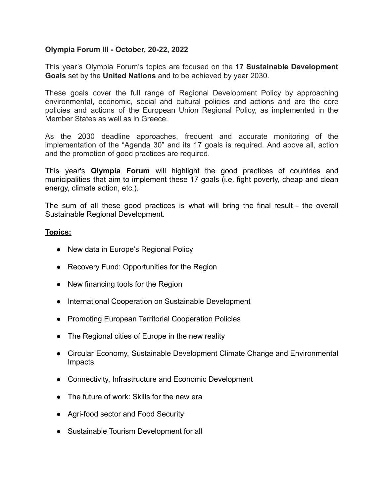## **Olympia Forum III - October, 20-22, 2022**

This year's Olympia Forum's topics are focused on the **17 Sustainable Development Goals** set by the **United Nations** and to be achieved by year 2030.

These goals cover the full range of Regional Development Policy by approaching environmental, economic, social and cultural policies and actions and are the core policies and actions of the European Union Regional Policy, as implemented in the Member States as well as in Greece.

As the 2030 deadline approaches, frequent and accurate monitoring of the implementation of the "Agenda 30" and its 17 goals is required. And above all, action and the promotion of good practices are required.

This year's **Olympia Forum** will highlight the good practices of countries and municipalities that aim to implement these 17 goals (i.e. fight poverty, cheap and clean energy, climate action, etc.).

The sum of all these good practices is what will bring the final result - the overall Sustainable Regional Development.

## **Topics:**

- New data in Europe's Regional Policy
- Recovery Fund: Opportunities for the Region
- New financing tools for the Region
- International Cooperation on Sustainable Development
- Promoting European Territorial Cooperation Policies
- The Regional cities of Europe in the new reality
- Circular Economy, Sustainable Development Climate Change and Environmental Impacts
- Connectivity, Infrastructure and Economic Development
- The future of work: Skills for the new era
- Agri-food sector and Food Security
- Sustainable Tourism Development for all